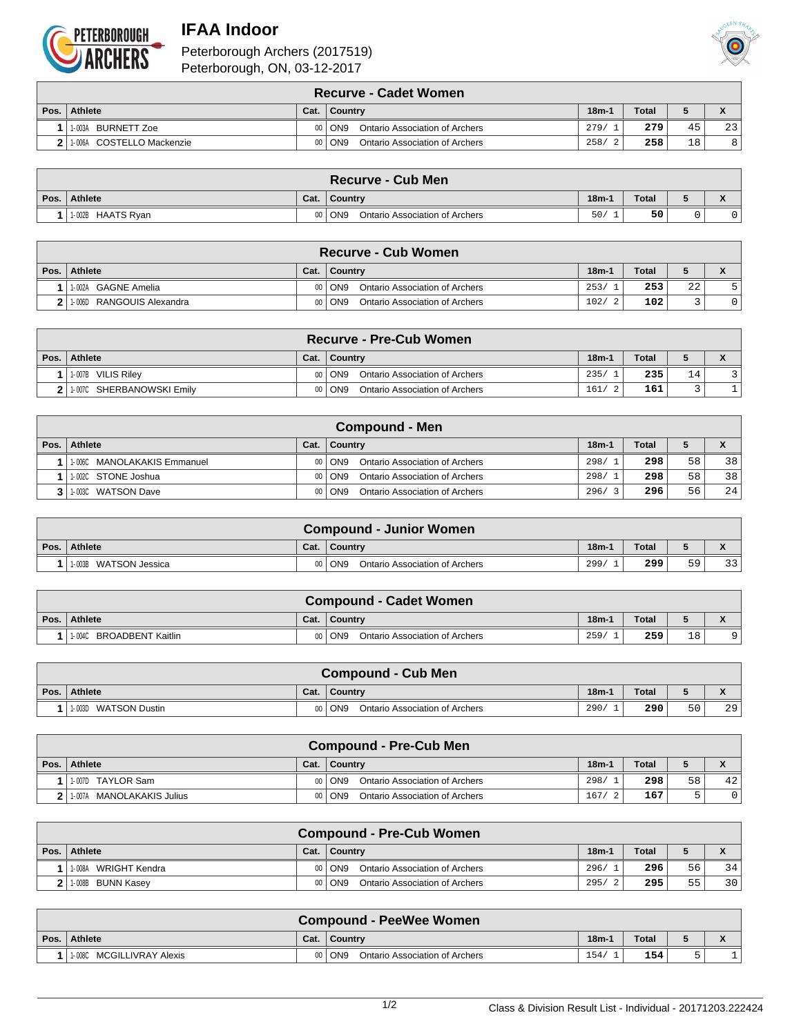

## **IFAA Indoor**





|      | <b>Recurve - Cadet Women</b> |      |                                                   |         |              |    |                 |  |  |  |  |
|------|------------------------------|------|---------------------------------------------------|---------|--------------|----|-----------------|--|--|--|--|
| Pos. | <b>Athlete</b>               | Cat. | ∣ Countrv                                         | $18m-1$ | <b>Total</b> |    |                 |  |  |  |  |
|      | BURNETT Zoe<br>1-003A        |      | Ontario Association of Archers<br>$00  $ ON9      | 279/    | 279          | 45 | 23 <sub>1</sub> |  |  |  |  |
|      | 1006A COSTELLO Mackenzie     | nn I | Ontario Association of Archers<br>ON <sub>9</sub> | 258/    | 258          | 18 | 8               |  |  |  |  |

|                    |      | <b>Recurve - Cub Men</b>                   |         |              |  |
|--------------------|------|--------------------------------------------|---------|--------------|--|
| Pos. Athlete       | Cat. | ∣ Countrv                                  | $18m-1$ | <b>Total</b> |  |
| 11-002B HAATS Rvan |      | 00   ON9<br>Ontario Association of Archers | 50/     | 50           |  |

|        | ∖ Recurve - Cub Women ∖          |      |                                                   |         |              |    |  |  |  |  |  |
|--------|----------------------------------|------|---------------------------------------------------|---------|--------------|----|--|--|--|--|--|
| Pos. I | <b>Athlete</b>                   | Cat. | ∣ Country                                         | $18m-1$ | <b>Total</b> |    |  |  |  |  |  |
|        | GAGNE Amelia<br>1-002A           |      | 00   ON9<br>Ontario Association of Archers        | 253/    | 253          | 22 |  |  |  |  |  |
|        | RANGOUIS Alexandra<br>$1 - 006L$ |      | <b>Ontario Association of Archers</b><br>00   ON9 | 102/    | 102          |    |  |  |  |  |  |

| <b>Recurve - Pre-Cub Women</b> I |      |                                              |         |              |    |  |  |  |  |
|----------------------------------|------|----------------------------------------------|---------|--------------|----|--|--|--|--|
| Pos.   Athlete                   | Cat. | ∣ Country                                    | $18m-1$ | <b>Total</b> |    |  |  |  |  |
| 1-007B<br><b>VILIS Riley</b>     |      | 00 ON9<br>Ontario Association of Archers     | 235/    | 235          | 14 |  |  |  |  |
| SHERBANOWSKI Emilv<br>1-007C     |      | Ontario Association of Archers<br>$00  $ ON9 | 161/    | 161          |    |  |  |  |  |

| Compound - Men               |      |                                              |         |              |    |    |  |  |  |  |
|------------------------------|------|----------------------------------------------|---------|--------------|----|----|--|--|--|--|
| Pos.   Athlete               | Cat. | ∣ Country                                    | $18m-1$ | <b>Total</b> |    |    |  |  |  |  |
| 1-006C MANOLAKAKIS Emmanuel  |      | Ontario Association of Archers<br>00 ON9     | 298/    | 298          | 58 | 38 |  |  |  |  |
| 1-002C STONE Joshua          |      | Ontario Association of Archers<br>$00  $ ON9 | 298/    | 298          | 58 | 38 |  |  |  |  |
| <b>WATSON Dave</b><br>1-003C |      | Ontario Association of Archers<br>00 ON9     | 296/    | 296          | 56 | 24 |  |  |  |  |

| <b>Compound - Junior Women</b> |      |                                            |         |              |    |    |  |  |  |
|--------------------------------|------|--------------------------------------------|---------|--------------|----|----|--|--|--|
| Pos. Athlete                   | Cat. | ∣ Countrv                                  | $18m-1$ | <b>Total</b> |    |    |  |  |  |
| 11-003B WATSON Jessica         |      | 00   ON9<br>Ontario Association of Archers | 299/    | 299          | 59 | 33 |  |  |  |

| <b>Compound - Cadet Women</b>         |      |                                       |         |              |    |  |  |  |  |  |
|---------------------------------------|------|---------------------------------------|---------|--------------|----|--|--|--|--|--|
| Pos. Athlete                          | Cat. | ∣ Countrv                             | $18m-1$ | <b>Total</b> |    |  |  |  |  |  |
| <sup>1</sup> 1-004C BROADBENT Kaitlin |      | ON9<br>Ontario Association of Archers | 259/    | 259          | 18 |  |  |  |  |  |

|      | <b>Compound - Cub Men</b>          |      |                                            |         |              |    |    |  |  |  |
|------|------------------------------------|------|--------------------------------------------|---------|--------------|----|----|--|--|--|
| Pos. | <b>Athlete</b>                     | Cat. | Country                                    | $18m-1$ | <b>Total</b> |    |    |  |  |  |
|      | <b>WATSON Dustin</b><br>$1 - 003D$ |      | 00   ON9<br>Ontario Association of Archers | 290/    | 290          | 50 | 29 |  |  |  |

|      | <b>Compound - Pre-Cub Men</b> |      |                                          |           |              |    |    |  |  |  |  |
|------|-------------------------------|------|------------------------------------------|-----------|--------------|----|----|--|--|--|--|
| Pos. | <b>Athlete</b>                | Cat. | ∣ Country                                | $18m-1$   | <b>Total</b> |    |    |  |  |  |  |
|      | 1-007D TAYLOR Sam             |      | 00 ON9<br>Ontario Association of Archers | 298/      | 298          | 58 | 42 |  |  |  |  |
|      | 1-007A MANOLAKAKIS Julius     |      | 00 ON9<br>Ontario Association of Archers | 167<br>-2 | 167          |    |    |  |  |  |  |

|      | <b>Compound - Pre-Cub Women</b> |      |                                            |         |       |    |    |  |  |  |  |
|------|---------------------------------|------|--------------------------------------------|---------|-------|----|----|--|--|--|--|
| Pos. | <b>Athlete</b>                  | Cat. | <b>Country</b>                             | $18m-1$ | Total |    |    |  |  |  |  |
|      | 11-008A WRIGHT Kendra           |      | 00 ON9<br>Ontario Association of Archers   | 296/    | 296   | 56 | 34 |  |  |  |  |
|      | 2   1-008B BUNN Kasey           |      | Ontario Association of Archers<br>00   ON9 | 295/    | 295   | 55 | 30 |  |  |  |  |

| <b>Compound - PeeWee Women</b> |  |                                                   |         |       |  |                                 |  |  |  |
|--------------------------------|--|---------------------------------------------------|---------|-------|--|---------------------------------|--|--|--|
| Pos. Athlete                   |  | Cat. Country                                      | $18m-1$ | Total |  | $\bullet$<br>$\mathbf{\Lambda}$ |  |  |  |
| MCGILLIVRAY Alexis<br>1-008C   |  | Ontario Association of Archers<br>ON <sub>9</sub> | 154/    | 154   |  | ÷                               |  |  |  |